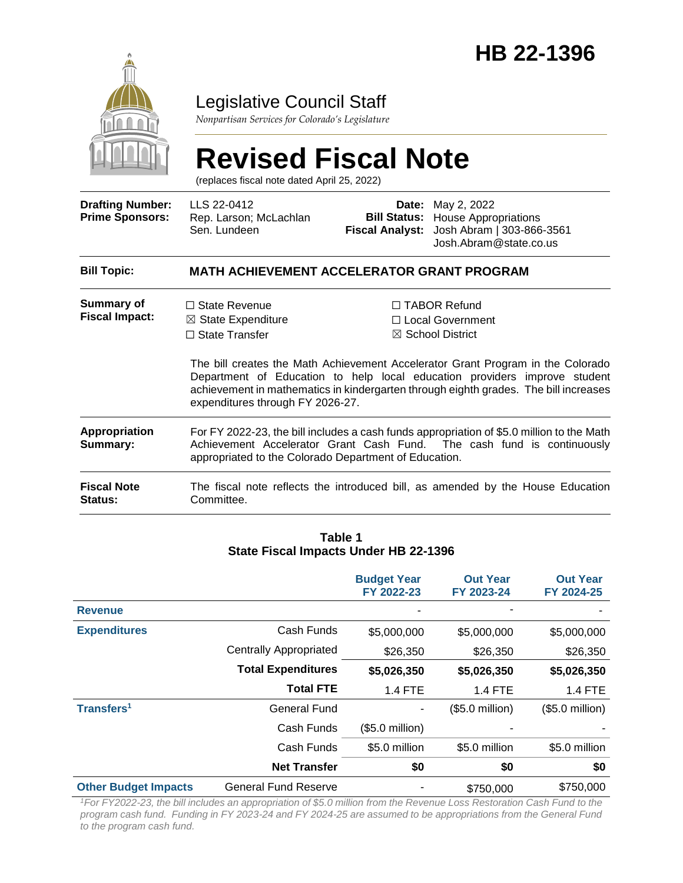

### Legislative Council Staff

*Nonpartisan Services for Colorado's Legislature*

# **Revised Fiscal Note**

(replaces fiscal note dated April 25, 2022)

| <b>Drafting Number:</b><br><b>Prime Sponsors:</b> | LLS 22-0412<br>Rep. Larson; McLachlan<br>Sen. Lundeen                                                                                                                                                                        | Date:<br><b>Bill Status:</b><br><b>Fiscal Analyst:</b> | May 2, 2022<br><b>House Appropriations</b><br>Josh Abram   303-866-3561<br>Josh.Abram@state.co.us                                                                                                                                                                                                                                     |  |  |  |
|---------------------------------------------------|------------------------------------------------------------------------------------------------------------------------------------------------------------------------------------------------------------------------------|--------------------------------------------------------|---------------------------------------------------------------------------------------------------------------------------------------------------------------------------------------------------------------------------------------------------------------------------------------------------------------------------------------|--|--|--|
| <b>Bill Topic:</b>                                | <b>MATH ACHIEVEMENT ACCELERATOR GRANT PROGRAM</b>                                                                                                                                                                            |                                                        |                                                                                                                                                                                                                                                                                                                                       |  |  |  |
| Summary of<br><b>Fiscal Impact:</b>               | $\Box$ State Revenue<br>$\boxtimes$ State Expenditure<br>$\Box$ State Transfer<br>expenditures through FY 2026-27.                                                                                                           |                                                        | $\Box$ TABOR Refund<br>$\Box$ Local Government<br>$\boxtimes$ School District<br>The bill creates the Math Achievement Accelerator Grant Program in the Colorado<br>Department of Education to help local education providers improve student<br>achievement in mathematics in kindergarten through eighth grades. The bill increases |  |  |  |
| Appropriation<br>Summary:                         | For FY 2022-23, the bill includes a cash funds appropriation of \$5.0 million to the Math<br>Achievement Accelerator Grant Cash Fund. The cash fund is continuously<br>appropriated to the Colorado Department of Education. |                                                        |                                                                                                                                                                                                                                                                                                                                       |  |  |  |
| <b>Fiscal Note</b><br><b>Status:</b>              | Committee.                                                                                                                                                                                                                   |                                                        | The fiscal note reflects the introduced bill, as amended by the House Education                                                                                                                                                                                                                                                       |  |  |  |

#### **Table 1 State Fiscal Impacts Under HB 22-1396**

|                             |                               | <b>Budget Year</b><br>FY 2022-23 | <b>Out Year</b><br>FY 2023-24 | <b>Out Year</b><br>FY 2024-25 |
|-----------------------------|-------------------------------|----------------------------------|-------------------------------|-------------------------------|
| <b>Revenue</b>              |                               |                                  |                               |                               |
| <b>Expenditures</b>         | Cash Funds                    | \$5,000,000                      | \$5,000,000                   | \$5,000,000                   |
|                             | <b>Centrally Appropriated</b> | \$26,350                         | \$26,350                      | \$26,350                      |
|                             | <b>Total Expenditures</b>     | \$5,026,350                      | \$5,026,350                   | \$5,026,350                   |
|                             | <b>Total FTE</b>              | 1.4 FTE                          | 1.4 FTE                       | 1.4 FTE                       |
| Transfers <sup>1</sup>      | <b>General Fund</b>           | ٠                                | $($5.0$ million)              | $($5.0$ million)              |
|                             | Cash Funds                    | $($5.0$ million)                 |                               |                               |
|                             | Cash Funds                    | \$5.0 million                    | \$5.0 million                 | \$5.0 million                 |
|                             | <b>Net Transfer</b>           | \$0                              | \$0                           | \$0                           |
| <b>Other Budget Impacts</b> | <b>General Fund Reserve</b>   |                                  | \$750,000                     | \$750,000                     |

*<sup>1</sup>For FY2022-23, the bill includes an appropriation of \$5.0 million from the Revenue Loss Restoration Cash Fund to the program cash fund. Funding in FY 2023-24 and FY 2024-25 are assumed to be appropriations from the General Fund to the program cash fund.*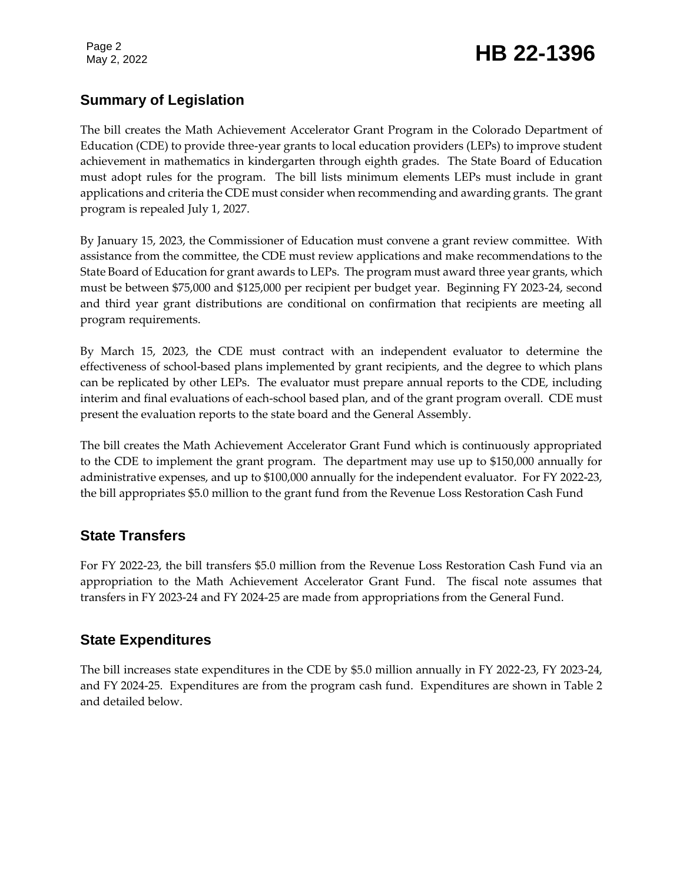Page 2

## Page 2<br>May 2, 2022 **HB 22-1396**

### **Summary of Legislation**

The bill creates the Math Achievement Accelerator Grant Program in the Colorado Department of Education (CDE) to provide three-year grants to local education providers (LEPs) to improve student achievement in mathematics in kindergarten through eighth grades. The State Board of Education must adopt rules for the program. The bill lists minimum elements LEPs must include in grant applications and criteria the CDE must consider when recommending and awarding grants. The grant program is repealed July 1, 2027.

By January 15, 2023, the Commissioner of Education must convene a grant review committee. With assistance from the committee, the CDE must review applications and make recommendations to the State Board of Education for grant awards to LEPs. The program must award three year grants, which must be between \$75,000 and \$125,000 per recipient per budget year. Beginning FY 2023-24, second and third year grant distributions are conditional on confirmation that recipients are meeting all program requirements.

By March 15, 2023, the CDE must contract with an independent evaluator to determine the effectiveness of school-based plans implemented by grant recipients, and the degree to which plans can be replicated by other LEPs. The evaluator must prepare annual reports to the CDE, including interim and final evaluations of each-school based plan, and of the grant program overall. CDE must present the evaluation reports to the state board and the General Assembly.

The bill creates the Math Achievement Accelerator Grant Fund which is continuously appropriated to the CDE to implement the grant program. The department may use up to \$150,000 annually for administrative expenses, and up to \$100,000 annually for the independent evaluator. For FY 2022-23, the bill appropriates \$5.0 million to the grant fund from the Revenue Loss Restoration Cash Fund

### **State Transfers**

For FY 2022-23, the bill transfers \$5.0 million from the Revenue Loss Restoration Cash Fund via an appropriation to the Math Achievement Accelerator Grant Fund. The fiscal note assumes that transfers in FY 2023-24 and FY 2024-25 are made from appropriations from the General Fund.

### **State Expenditures**

The bill increases state expenditures in the CDE by \$5.0 million annually in FY 2022-23, FY 2023-24, and FY 2024-25. Expenditures are from the program cash fund. Expenditures are shown in Table 2 and detailed below.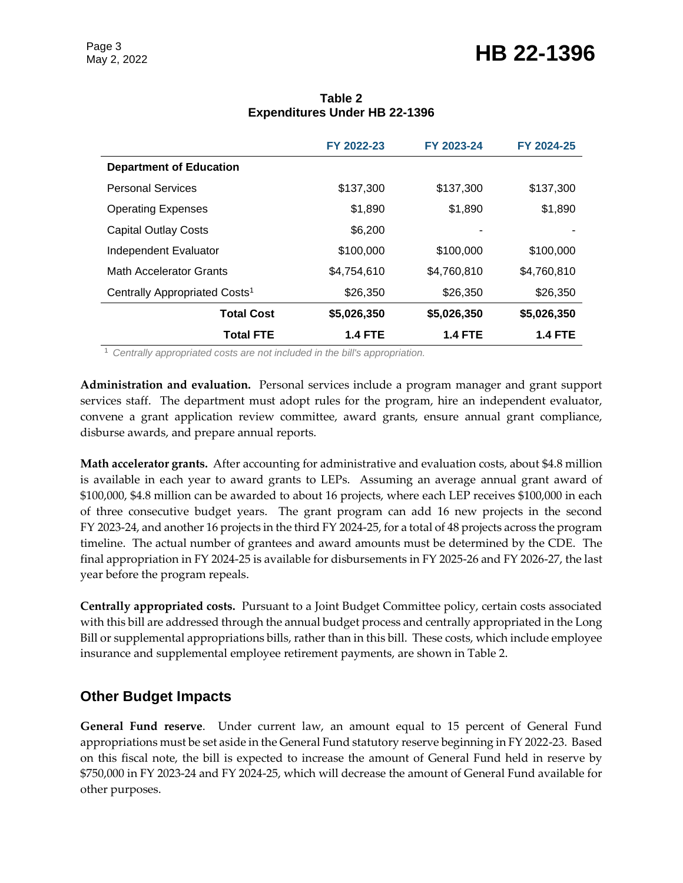### Page 3<br>May 2, 2022 **HB 22-1396**

|                                           | FY 2022-23  | FY 2023-24     | FY 2024-25     |
|-------------------------------------------|-------------|----------------|----------------|
| <b>Department of Education</b>            |             |                |                |
| <b>Personal Services</b>                  | \$137,300   | \$137,300      | \$137,300      |
| <b>Operating Expenses</b>                 | \$1,890     | \$1,890        | \$1,890        |
| <b>Capital Outlay Costs</b>               | \$6,200     |                |                |
| Independent Evaluator                     | \$100,000   | \$100,000      | \$100,000      |
| Math Accelerator Grants                   | \$4,754,610 | \$4,760,810    | \$4,760,810    |
| Centrally Appropriated Costs <sup>1</sup> | \$26,350    | \$26,350       | \$26,350       |
| <b>Total Cost</b>                         | \$5,026,350 | \$5,026,350    | \$5,026,350    |
| <b>Total FTE</b>                          | 1.4 FTE     | <b>1.4 FTE</b> | <b>1.4 FTE</b> |

#### **Table 2 Expenditures Under HB 22-1396**

<sup>1</sup> *Centrally appropriated costs are not included in the bill's appropriation.*

**Administration and evaluation.** Personal services include a program manager and grant support services staff. The department must adopt rules for the program, hire an independent evaluator, convene a grant application review committee, award grants, ensure annual grant compliance, disburse awards, and prepare annual reports.

**Math accelerator grants.** After accounting for administrative and evaluation costs, about \$4.8 million is available in each year to award grants to LEPs. Assuming an average annual grant award of \$100,000, \$4.8 million can be awarded to about 16 projects, where each LEP receives \$100,000 in each of three consecutive budget years. The grant program can add 16 new projects in the second FY 2023-24, and another 16 projects in the third FY 2024-25, for a total of 48 projects across the program timeline. The actual number of grantees and award amounts must be determined by the CDE. The final appropriation in FY 2024-25 is available for disbursements in FY 2025-26 and FY 2026-27, the last year before the program repeals.

**Centrally appropriated costs.** Pursuant to a Joint Budget Committee policy, certain costs associated with this bill are addressed through the annual budget process and centrally appropriated in the Long Bill or supplemental appropriations bills, rather than in this bill. These costs, which include employee insurance and supplemental employee retirement payments, are shown in Table 2.

### **Other Budget Impacts**

**General Fund reserve**. Under current law, an amount equal to 15 percent of General Fund appropriations must be set aside in the General Fund statutory reserve beginning in FY 2022-23. Based on this fiscal note, the bill is expected to increase the amount of General Fund held in reserve by \$750,000 in FY 2023-24 and FY 2024-25, which will decrease the amount of General Fund available for other purposes.